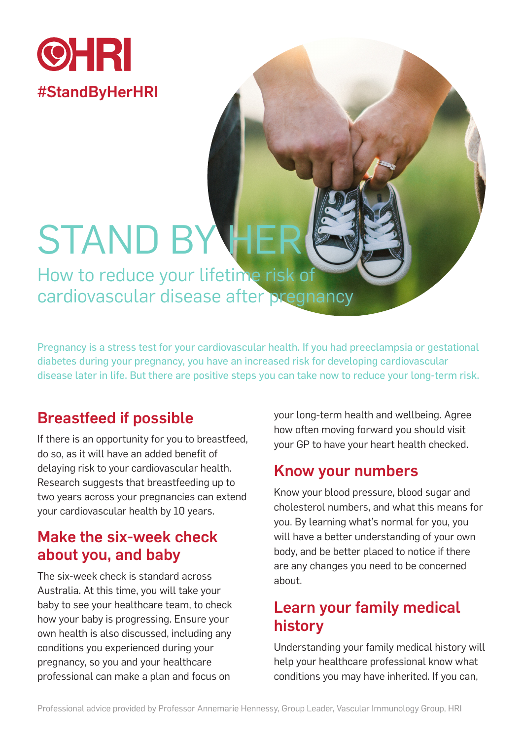

# **STAND BY**

How to reduce your lifetime risk of cardiovascular disease after pregnancy

Pregnancy is a stress test for your cardiovascular health. If you had preeclampsia or gestational diabetes during your pregnancy, you have an increased risk for developing cardiovascular disease later in life. But there are positive steps you can take now to reduce your long-term risk.

# Breastfeed if possible

If there is an opportunity for you to breastfeed, do so, as it will have an added benefit of delaying risk to your cardiovascular health. Research suggests that breastfeeding up to two years across your pregnancies can extend your cardiovascular health by 10 years.

## Make the six-week check about you, and baby

The six-week check is standard across Australia. At this time, you will take your baby to see your healthcare team, to check how your baby is progressing. Ensure your own health is also discussed, including any conditions you experienced during your pregnancy, so you and your healthcare professional can make a plan and focus on

your long-term health and wellbeing. Agree how often moving forward you should visit your GP to have your heart health checked.

#### Know your numbers

Know your blood pressure, blood sugar and cholesterol numbers, and what this means for you. By learning what's normal for you, you will have a better understanding of your own body, and be better placed to notice if there are any changes you need to be concerned about.

## Learn your family medical history

Understanding your family medical history will help your healthcare professional know what conditions you may have inherited. If you can,